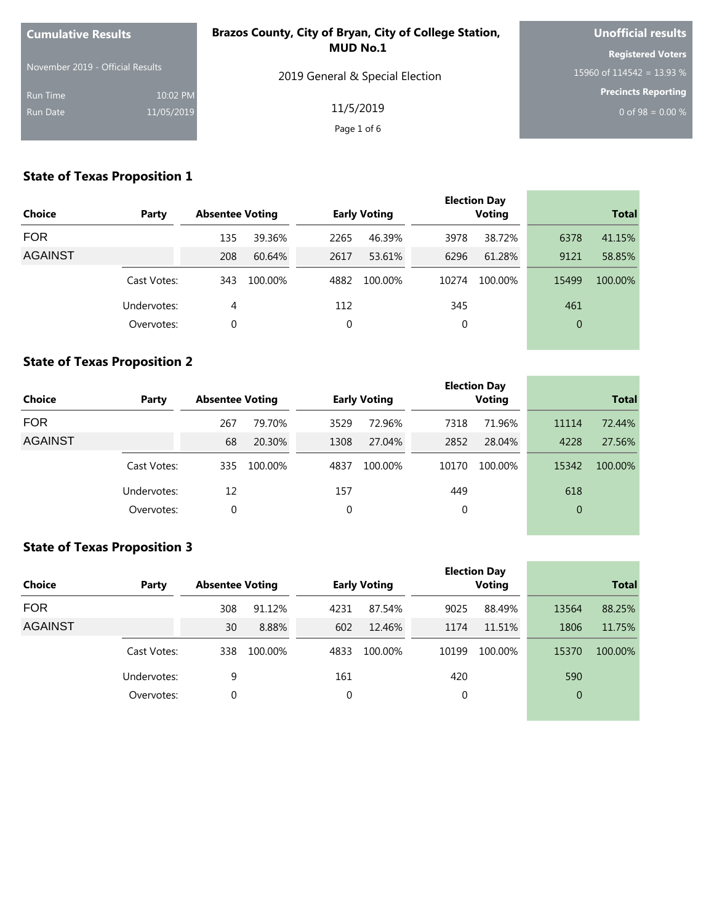| <b>Cumulative Results</b>        |            | Brazos County, City of Bryan, City of College Station, | <b>Unofficial results</b>  |
|----------------------------------|------------|--------------------------------------------------------|----------------------------|
|                                  |            | <b>MUD No.1</b>                                        | <b>Registered Voters</b>   |
| November 2019 - Official Results |            | 2019 General & Special Election                        | 15960 of 114542 = 13.93 %  |
| Run Time                         | 10:02 PM   |                                                        | <b>Precincts Reporting</b> |
| Run Date                         | 11/05/2019 | 11/5/2019                                              | 0 of 98 = $0.00\%$         |
|                                  |            | Page 1 of 6                                            |                            |

|                |             |                        |         |      |                     |       | <b>Election Day</b> |              |         |
|----------------|-------------|------------------------|---------|------|---------------------|-------|---------------------|--------------|---------|
| <b>Choice</b>  | Party       | <b>Absentee Voting</b> |         |      | <b>Early Voting</b> |       | <b>Voting</b>       | <b>Total</b> |         |
| <b>FOR</b>     |             | 135                    | 39.36%  | 2265 | 46.39%              | 3978  | 38.72%              | 6378         | 41.15%  |
| <b>AGAINST</b> |             | 208                    | 60.64%  | 2617 | 53.61%              | 6296  | 61.28%              | 9121         | 58.85%  |
|                | Cast Votes: | 343                    | 100.00% | 4882 | 100.00%             | 10274 | 100.00%             | 15499        | 100.00% |
|                | Undervotes: | 4                      |         | 112  |                     | 345   |                     | 461          |         |
|                | Overvotes:  | 0                      |         | 0    |                     | 0     |                     | $\mathbf{0}$ |         |
|                |             |                        |         |      |                     |       |                     |              |         |

#### **State of Texas Proposition 2**

| <b>Choice</b>  | Party       | <b>Absentee Voting</b> |         |      | <b>Early Voting</b> |       | <b>Election Day</b><br><b>Voting</b> |          | <b>Total</b> |
|----------------|-------------|------------------------|---------|------|---------------------|-------|--------------------------------------|----------|--------------|
| <b>FOR</b>     |             | 267                    | 79.70%  | 3529 | 72.96%              | 7318  | 71.96%                               | 11114    | 72.44%       |
| <b>AGAINST</b> |             | 68                     | 20.30%  | 1308 | 27.04%              | 2852  | 28.04%                               | 4228     | 27.56%       |
|                | Cast Votes: | 335                    | 100.00% | 4837 | 100.00%             | 10170 | 100.00%                              | 15342    | 100.00%      |
|                | Undervotes: | 12                     |         | 157  |                     | 449   |                                      | 618      |              |
|                | Overvotes:  | 0                      |         | 0    |                     | 0     |                                      | $\theta$ |              |
|                |             |                        |         |      |                     |       |                                      |          |              |

and the control of the control of the

#### **State of Texas Proposition 3**

| <b>Choice</b>  | Party       | <b>Absentee Voting</b> |         |      | <b>Early Voting</b> |       | <b>Election Day</b><br><b>Voting</b> |                | <b>Total</b> |
|----------------|-------------|------------------------|---------|------|---------------------|-------|--------------------------------------|----------------|--------------|
| <b>FOR</b>     |             | 308                    | 91.12%  | 4231 | 87.54%              | 9025  | 88.49%                               | 13564          | 88.25%       |
| <b>AGAINST</b> |             | 30                     | 8.88%   | 602  | 12.46%              | 1174  | 11.51%                               | 1806           | 11.75%       |
|                | Cast Votes: | 338                    | 100.00% | 4833 | 100.00%             | 10199 | 100.00%                              | 15370          | 100.00%      |
|                | Undervotes: | 9                      |         | 161  |                     | 420   |                                      | 590            |              |
|                | Overvotes:  | 0                      |         | 0    |                     | 0     |                                      | $\overline{0}$ |              |
|                |             |                        |         |      |                     |       |                                      |                |              |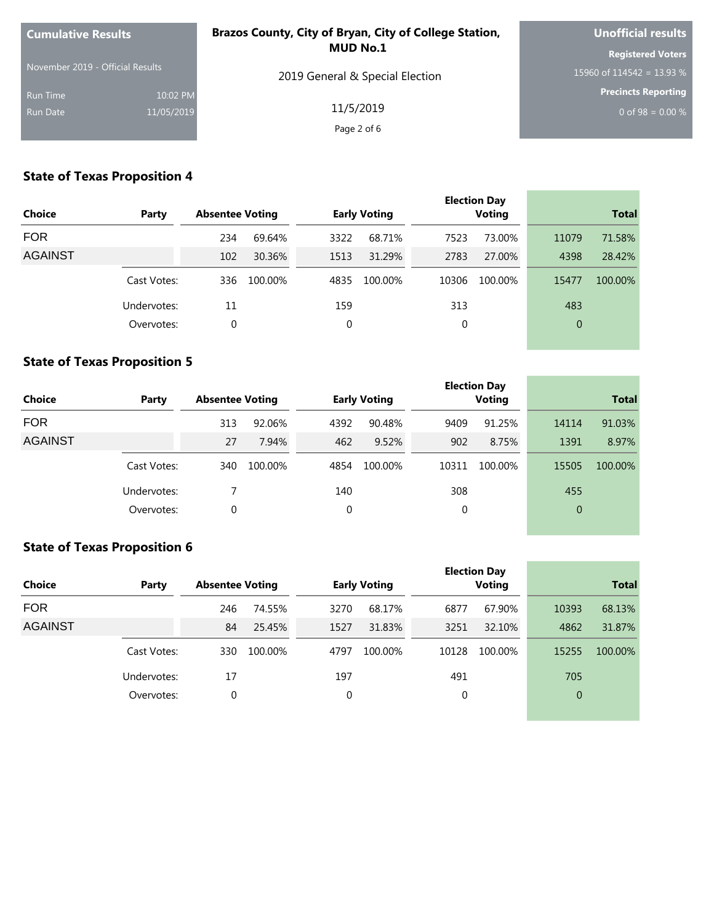| <b>Cumulative Results</b>        |            | Brazos County, City of Bryan, City of College Station, | <b>Unofficial results</b>  |
|----------------------------------|------------|--------------------------------------------------------|----------------------------|
|                                  |            | <b>MUD No.1</b>                                        | <b>Registered Voters</b>   |
| November 2019 - Official Results |            | 2019 General & Special Election                        | 15960 of 114542 = 13.93 %  |
| Run Time                         | 10:02 PM   |                                                        | <b>Precincts Reporting</b> |
| Run Date                         | 11/05/2019 | 11/5/2019                                              | 0 of 98 = $0.00\%$         |
|                                  |            | Page 2 of 6                                            |                            |

|                |             |                        |         |      |                     |       | <b>Election Day</b> |              |              |
|----------------|-------------|------------------------|---------|------|---------------------|-------|---------------------|--------------|--------------|
| <b>Choice</b>  | Party       | <b>Absentee Voting</b> |         |      | <b>Early Voting</b> |       | <b>Voting</b>       |              | <b>Total</b> |
| <b>FOR</b>     |             | 234                    | 69.64%  | 3322 | 68.71%              | 7523  | 73.00%              | 11079        | 71.58%       |
| <b>AGAINST</b> |             | 102                    | 30.36%  | 1513 | 31.29%              | 2783  | 27.00%              | 4398         | 28.42%       |
|                | Cast Votes: | 336                    | 100.00% | 4835 | 100.00%             | 10306 | 100.00%             | 15477        | 100.00%      |
|                | Undervotes: | 11                     |         | 159  |                     | 313   |                     | 483          |              |
|                | Overvotes:  | 0                      |         | 0    |                     | 0     |                     | $\mathbf{0}$ |              |
|                |             |                        |         |      |                     |       |                     |              |              |

#### **State of Texas Proposition 5**

| <b>Choice</b>  | Party       | <b>Absentee Voting</b> |         |      | <b>Early Voting</b> |       | <b>Election Day</b><br><b>Voting</b> |          | <b>Total</b> |
|----------------|-------------|------------------------|---------|------|---------------------|-------|--------------------------------------|----------|--------------|
| <b>FOR</b>     |             | 313                    | 92.06%  | 4392 | 90.48%              | 9409  | 91.25%                               | 14114    | 91.03%       |
| <b>AGAINST</b> |             | 27                     | 7.94%   | 462  | 9.52%               | 902   | 8.75%                                | 1391     | 8.97%        |
|                | Cast Votes: | 340                    | 100.00% | 4854 | 100.00%             | 10311 | 100.00%                              | 15505    | 100.00%      |
|                | Undervotes: |                        |         | 140  |                     | 308   |                                      | 455      |              |
|                | Overvotes:  | 0                      |         | 0    |                     | 0     |                                      | $\theta$ |              |
|                |             |                        |         |      |                     |       |                                      |          |              |

the control of the control of the control of

the control of the control of the control of

#### **State of Texas Proposition 6**

| <b>Choice</b>  | Party       | <b>Absentee Voting</b> |         |      | <b>Early Voting</b> |       | <b>Election Day</b><br><b>Voting</b> |                | <b>Total</b> |
|----------------|-------------|------------------------|---------|------|---------------------|-------|--------------------------------------|----------------|--------------|
| <b>FOR</b>     |             | 246                    | 74.55%  | 3270 | 68.17%              | 6877  | 67.90%                               | 10393          | 68.13%       |
| <b>AGAINST</b> |             | 84                     | 25.45%  | 1527 | 31.83%              | 3251  | 32.10%                               | 4862           | 31.87%       |
|                | Cast Votes: | 330                    | 100.00% | 4797 | 100.00%             | 10128 | 100.00%                              | 15255          | 100.00%      |
|                | Undervotes: | 17                     |         | 197  |                     | 491   |                                      | 705            |              |
|                | Overvotes:  | $\mathbf 0$            |         | 0    |                     | 0     |                                      | $\overline{0}$ |              |
|                |             |                        |         |      |                     |       |                                      |                |              |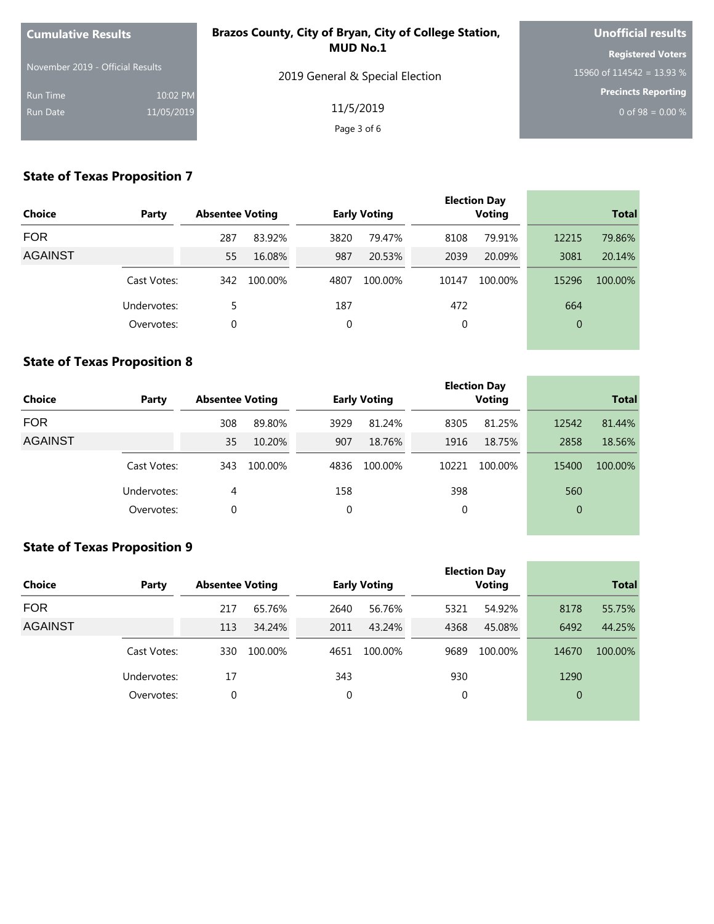| <b>Cumulative Results</b>        |            | Brazos County, City of Bryan, City of College Station, | <b>Unofficial results</b>  |
|----------------------------------|------------|--------------------------------------------------------|----------------------------|
|                                  |            | <b>MUD No.1</b>                                        | <b>Registered Voters</b>   |
| November 2019 - Official Results |            | 2019 General & Special Election                        | 15960 of 114542 = 13.93 %  |
| Run Time                         | 10:02 PM   |                                                        | <b>Precincts Reporting</b> |
| Run Date                         | 11/05/2019 | 11/5/2019                                              | 0 of 98 = $0.00\%$         |
|                                  |            | Page 3 of 6                                            |                            |

|                |             |                        |         |      |                     |       | <b>Election Day</b> |              |              |
|----------------|-------------|------------------------|---------|------|---------------------|-------|---------------------|--------------|--------------|
| <b>Choice</b>  | Party       | <b>Absentee Voting</b> |         |      | <b>Early Voting</b> |       | <b>Voting</b>       |              | <b>Total</b> |
| <b>FOR</b>     |             | 287                    | 83.92%  | 3820 | 79.47%              | 8108  | 79.91%              | 12215        | 79.86%       |
| <b>AGAINST</b> |             | 55                     | 16.08%  | 987  | 20.53%              | 2039  | 20.09%              | 3081         | 20.14%       |
|                | Cast Votes: | 342                    | 100.00% | 4807 | 100.00%             | 10147 | 100.00%             | 15296        | 100.00%      |
|                | Undervotes: | 5                      |         | 187  |                     | 472   |                     | 664          |              |
|                | Overvotes:  | 0                      |         | 0    |                     | 0     |                     | $\mathbf{0}$ |              |
|                |             |                        |         |      |                     |       |                     |              |              |

#### **State of Texas Proposition 8**

| <b>Choice</b>  | Party       | <b>Absentee Voting</b> |         |      | <b>Early Voting</b> |       | <b>Election Day</b><br><b>Voting</b> |          | <b>Total</b> |
|----------------|-------------|------------------------|---------|------|---------------------|-------|--------------------------------------|----------|--------------|
| <b>FOR</b>     |             | 308                    | 89.80%  | 3929 | 81.24%              | 8305  | 81.25%                               | 12542    | 81.44%       |
| <b>AGAINST</b> |             | 35                     | 10.20%  | 907  | 18.76%              | 1916  | 18.75%                               | 2858     | 18.56%       |
|                | Cast Votes: | 343                    | 100.00% | 4836 | 100.00%             | 10221 | 100.00%                              | 15400    | 100.00%      |
|                | Undervotes: | 4                      |         | 158  |                     | 398   |                                      | 560      |              |
|                | Overvotes:  | 0                      |         | 0    |                     | 0     |                                      | $\theta$ |              |
|                |             |                        |         |      |                     |       |                                      |          |              |

the control of the control of the control of

#### **State of Texas Proposition 9**

| <b>Choice</b>  | Party       | <b>Absentee Voting</b> |         |      | <b>Early Voting</b> |      | <b>Election Day</b><br><b>Voting</b> |                | <b>Total</b> |
|----------------|-------------|------------------------|---------|------|---------------------|------|--------------------------------------|----------------|--------------|
| <b>FOR</b>     |             | 217                    | 65.76%  | 2640 | 56.76%              | 5321 | 54.92%                               | 8178           | 55.75%       |
| <b>AGAINST</b> |             | 113                    | 34.24%  | 2011 | 43.24%              | 4368 | 45.08%                               | 6492           | 44.25%       |
|                | Cast Votes: | 330                    | 100.00% | 4651 | 100.00%             | 9689 | 100.00%                              | 14670          | 100.00%      |
|                | Undervotes: | 17                     |         | 343  |                     | 930  |                                      | 1290           |              |
|                | Overvotes:  | 0                      |         | 0    |                     | 0    |                                      | $\overline{0}$ |              |
|                |             |                        |         |      |                     |      |                                      |                |              |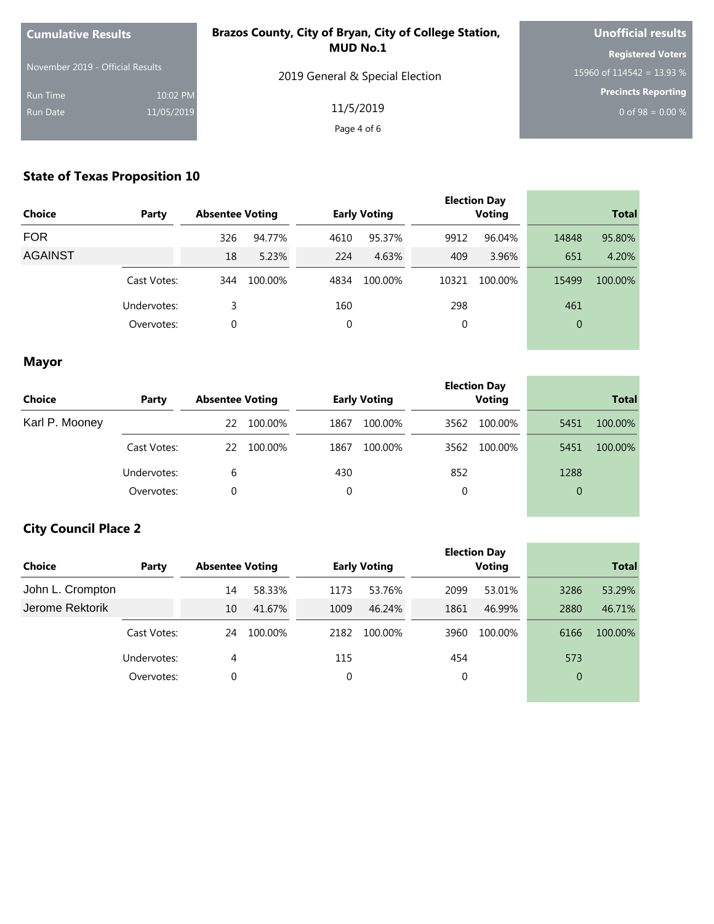| <b>Cumulative Results</b>        |            | Brazos County, City of Bryan, City of College Station, | <b>Unofficial results</b>  |
|----------------------------------|------------|--------------------------------------------------------|----------------------------|
| November 2019 - Official Results |            | <b>MUD No.1</b>                                        | <b>Registered Voters</b>   |
|                                  |            | 2019 General & Special Election                        | 15960 of 114542 = 13.93 %  |
| <b>Run Time</b>                  | 10:02 PM   |                                                        | <b>Precincts Reporting</b> |
| <b>Run Date</b>                  | 11/05/2019 | 11/5/2019                                              | 0 of 98 = $0.00\%$         |
|                                  |            | Page 4 of 6                                            |                            |

| <b>Choice</b><br>Party |             | <b>Absentee Voting</b> |         |      | <b>Early Voting</b> |       | <b>Election Day</b><br><b>Voting</b> | <b>Total</b> |         |
|------------------------|-------------|------------------------|---------|------|---------------------|-------|--------------------------------------|--------------|---------|
| <b>FOR</b>             |             | 326                    | 94.77%  | 4610 | 95.37%              | 9912  | 96.04%                               | 14848        | 95.80%  |
| <b>AGAINST</b>         |             | 18                     | 5.23%   | 224  | 4.63%               | 409   | 3.96%                                | 651          | 4.20%   |
|                        | Cast Votes: | 344                    | 100.00% | 4834 | 100.00%             | 10321 | 100.00%                              | 15499        | 100.00% |
|                        | Undervotes: | 3                      |         | 160  |                     | 298   |                                      | 461          |         |
|                        | Overvotes:  | 0                      |         | 0    |                     | 0     |                                      | $\theta$     |         |
|                        |             |                        |         |      |                     |       |                                      |              |         |

## **Mayor**

| Choice         | Party       | <b>Absentee Voting</b> | <b>Early Voting</b> | <b>Election Day</b><br><b>Voting</b> | <b>Total</b>    |  |  |
|----------------|-------------|------------------------|---------------------|--------------------------------------|-----------------|--|--|
| Karl P. Mooney |             | 100.00%<br>22          | 1867<br>100.00%     | 100.00%<br>3562                      | 100.00%<br>5451 |  |  |
|                | Cast Votes: | 100.00%<br>22          | 1867<br>100.00%     | 100.00%<br>3562                      | 100.00%<br>5451 |  |  |
|                | Undervotes: | 6                      | 430                 | 852                                  | 1288            |  |  |
|                | Overvotes:  | 0                      | 0                   | 0                                    | $\overline{0}$  |  |  |

the control of the control of the

# **City Council Place 2**

| Choice           | Party       | <b>Absentee Voting</b> |         |      | <b>Early Voting</b> |      | <b>Election Day</b><br><b>Voting</b> | <b>Total</b>   |         |  |
|------------------|-------------|------------------------|---------|------|---------------------|------|--------------------------------------|----------------|---------|--|
| John L. Crompton |             | 14                     | 58.33%  | 1173 | 53.76%              | 2099 | 53.01%                               | 3286           | 53.29%  |  |
| Jerome Rektorik  |             | 10                     | 41.67%  | 1009 | 46.24%              | 1861 | 46.99%                               | 2880           | 46.71%  |  |
|                  | Cast Votes: | 24                     | 100.00% | 2182 | 100.00%             | 3960 | 100.00%                              | 6166           | 100.00% |  |
|                  | Undervotes: | 4                      |         | 115  |                     | 454  |                                      | 573            |         |  |
|                  | Overvotes:  | 0                      |         | 0    |                     | 0    |                                      | $\overline{0}$ |         |  |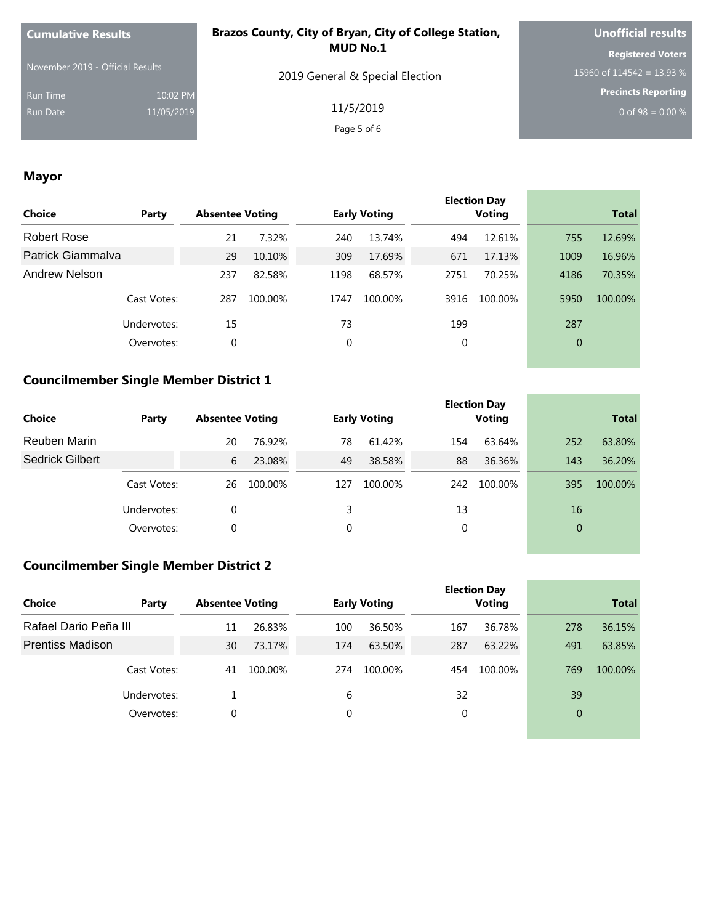| <b>Cumulative Results</b>        |            | Brazos County, City of Bryan, City of College Station, | <b>Unofficial results</b>  |  |  |
|----------------------------------|------------|--------------------------------------------------------|----------------------------|--|--|
| November 2019 - Official Results |            | <b>MUD No.1</b>                                        | <b>Registered Voters</b>   |  |  |
|                                  |            | 2019 General & Special Election                        | 15960 of 114542 = 13.93 %  |  |  |
| <b>Run Time</b>                  | 10:02 PM   |                                                        | <b>Precincts Reporting</b> |  |  |
| <b>Run Date</b>                  | 11/05/2019 | 11/5/2019                                              | 0 of 98 = $0.00\%$         |  |  |
|                                  |            | Page 5 of 6                                            |                            |  |  |

the control of the control of the control of the control of

**Contract Contract Contract** 

٠

## **Mayor**

| Choice            | Party       | <b>Absentee Voting</b> |         |      | <b>Early Voting</b> |      | <b>Election Day</b><br><b>Voting</b> |                | <b>Total</b> |
|-------------------|-------------|------------------------|---------|------|---------------------|------|--------------------------------------|----------------|--------------|
| Robert Rose       |             | 21                     | 7.32%   | 240  | 13.74%              | 494  | 12.61%                               | 755            | 12.69%       |
| Patrick Giammalva |             | 29                     | 10.10%  | 309  | 17.69%              | 671  | 17.13%                               | 1009           | 16.96%       |
| Andrew Nelson     |             | 237                    | 82.58%  | 1198 | 68.57%              | 2751 | 70.25%                               | 4186           | 70.35%       |
|                   | Cast Votes: | 287                    | 100.00% | 1747 | 100.00%             | 3916 | 100.00%                              | 5950           | 100.00%      |
|                   | Undervotes: | 15                     |         | 73   |                     | 199  |                                      | 287            |              |
|                   | Overvotes:  | 0                      |         | 0    |                     | 0    |                                      | $\overline{0}$ |              |
|                   |             |                        |         |      |                     |      |                                      |                |              |

#### **Councilmember Single Member District 1**

| <b>Choice</b>          | Party       | <b>Absentee Voting</b> |         |     | <b>Early Voting</b> |     | <b>Election Day</b><br><b>Voting</b> | <b>Total</b>   |         |
|------------------------|-------------|------------------------|---------|-----|---------------------|-----|--------------------------------------|----------------|---------|
| Reuben Marin           |             | 20                     | 76.92%  | 78  | 61.42%              | 154 | 63.64%                               | 252            | 63.80%  |
| <b>Sedrick Gilbert</b> |             | 6                      | 23.08%  | 49  | 38.58%              | 88  | 36.36%                               | 143            | 36.20%  |
|                        | Cast Votes: | 26                     | 100.00% | 127 | 100.00%             | 242 | 100.00%                              | 395            | 100.00% |
|                        | Undervotes: | 0                      |         |     |                     | 13  |                                      | 16             |         |
|                        | Overvotes:  | 0                      |         | 0   |                     | 0   |                                      | $\overline{0}$ |         |

## **Councilmember Single Member District 2**

|                         |             |    |                        |     |                     |     | <b>Election Day</b> |                |              |
|-------------------------|-------------|----|------------------------|-----|---------------------|-----|---------------------|----------------|--------------|
| <b>Choice</b>           | Party       |    | <b>Absentee Voting</b> |     | <b>Early Voting</b> |     | Voting              |                | <b>Total</b> |
| Rafael Dario Peña III   |             | 11 | 26.83%                 | 100 | 36.50%              | 167 | 36.78%              | 278            | 36.15%       |
| <b>Prentiss Madison</b> |             | 30 | 73.17%                 | 174 | 63.50%              | 287 | 63.22%              | 491            | 63.85%       |
|                         | Cast Votes: | 41 | 100.00%                | 274 | 100.00%             | 454 | 100.00%             | 769            | 100.00%      |
|                         | Undervotes: |    |                        | 6   |                     | 32  |                     | 39             |              |
| Overvotes:              |             | 0  |                        | 0   |                     | 0   |                     | $\overline{0}$ |              |
|                         |             |    |                        |     |                     |     |                     |                |              |